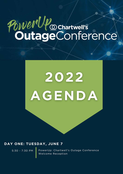# PowerUP ochartwell's

## 2022 AGENDA

#### **DAY ONE: TUESDAY, JUNE 7**

5:30 - 7:30 PM

PowerUp: Chartwell's Outage Conference Welcome Reception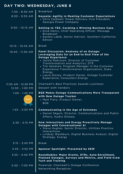### **DAY TWO: WEDNESDAY, JUNE 8**

| 7:30 - 8:30 AM                  | <b>Breakfast</b>                                                                                                                                                                                                                                                                                                                                                                                   |
|---------------------------------|----------------------------------------------------------------------------------------------------------------------------------------------------------------------------------------------------------------------------------------------------------------------------------------------------------------------------------------------------------------------------------------------------|
| 8:30 - 9:30 AM                  | <b>Keynote: Agility in Meeting Customer Expectations</b><br>• Chris Caldwell, Power Delivery Vice President,<br>Georgia Power Company                                                                                                                                                                                                                                                              |
| $9:30 - 10:15$ AM               | <b>Getting to YES. Curating a Winning Business Case.</b><br>• Elisa Henry, Chief Operating Officer, Message<br><b>Broadcast</b><br>• Sandra Labib, Senior Advisor, Southern California<br>Edison                                                                                                                                                                                                   |
| $10:15 - 10:45$ AM              | <b>Break</b>                                                                                                                                                                                                                                                                                                                                                                                       |
| 10:45 - 11:30 AM                | Panel Discussion: Anatomy of an Outage:<br>Leveraging Data for an End-to-End View of the<br><b>Outage Experience</b><br>• Jackie Robinson, Director of Customer<br>Transformation and Analytics, DTE<br>• Tim Hendren, Program Manager in the Customer<br>Experience Transformation Organization, Duke<br>Energy<br>• Laura Storey, Product Owner, Outage Customer<br>Experience, Consumers Energy |
| 11:30 AM - 12:30 PM             | Chartwell's Best Practices Awards Luncheon                                                                                                                                                                                                                                                                                                                                                         |
| 12:30 - 1:00 PM                 | Dessert with Vendors                                                                                                                                                                                                                                                                                                                                                                               |
|                                 |                                                                                                                                                                                                                                                                                                                                                                                                    |
| $1:00 - 1:45$ PM<br><b>GOLD</b> | <b>BGE Makes Outage Communications More Transparent</b><br>with New Outage Tracker<br>• Matt Fiery, Product Owner,<br><b>BGE</b>                                                                                                                                                                                                                                                                   |
| $1:45 - 2:30 PM$                | <b>Communicating in the Age of Extremes</b><br>• Daniel Séguin, Director, Communications and Public<br>Affairs, Hydro Ottawa                                                                                                                                                                                                                                                                       |
| $2:30 - 3:15$ PM                | <b>How Interactions and Evergy Proactively Manage</b><br><b>Outages with Conversational AI</b><br>• Steve Hughes, Senior Director, Utilities Practice,<br>Interactions<br>• Lindsay Washburn, Digital Business Analyst, Digital<br>Strategy, Evergy                                                                                                                                                |
| $3:15 - 3:45$ PM                | <b>Break</b>                                                                                                                                                                                                                                                                                                                                                                                       |
| $3:45 - 3:55$ PM                | <b>Sponsor Spotlight: Presented by SEW</b>                                                                                                                                                                                                                                                                                                                                                         |
| $3:55 - 4:40$ PM                | Roundtables: Major Events, ETRs, Auto-Enrollment,<br>Planned Outages, Surveys and Metrics, and Field Crew<br><b>Tech and Training</b>                                                                                                                                                                                                                                                              |